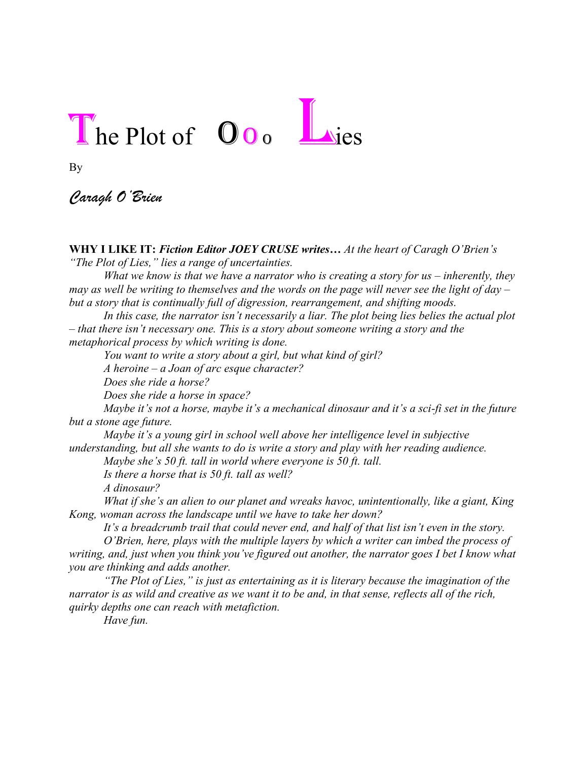## The Plot of Oo<sub>o</sub> Lies

By

*Caragh O'Brien*

**WHY I LIKE IT:** *Fiction Editor JOEY CRUSE writes… At the heart of Caragh O'Brien's "The Plot of Lies," lies a range of uncertainties.*

*What we know is that we have a narrator who is creating a story for us – inherently, they may as well be writing to themselves and the words on the page will never see the light of day – but a story that is continually full of digression, rearrangement, and shifting moods.* 

*In this case, the narrator isn't necessarily a liar. The plot being lies belies the actual plot – that there isn't necessary one. This is a story about someone writing a story and the metaphorical process by which writing is done.* 

*You want to write a story about a girl, but what kind of girl?* 

*A heroine – a Joan of arc esque character?* 

*Does she ride a horse?* 

*Does she ride a horse in space?* 

*Maybe it's not a horse, maybe it's a mechanical dinosaur and it's a sci-fi set in the future but a stone age future.* 

*Maybe it's a young girl in school well above her intelligence level in subjective understanding, but all she wants to do is write a story and play with her reading audience. Maybe she's 50 ft. tall in world where everyone is 50 ft. tall.* 

*Is there a horse that is 50 ft. tall as well?* 

*A dinosaur?* 

*What if she's an alien to our planet and wreaks havoc, unintentionally, like a giant, King Kong, woman across the landscape until we have to take her down?* 

*It's a breadcrumb trail that could never end, and half of that list isn't even in the story.*

*O'Brien, here, plays with the multiple layers by which a writer can imbed the process of writing, and, just when you think you've figured out another, the narrator goes I bet I know what you are thinking and adds another.* 

*"The Plot of Lies," is just as entertaining as it is literary because the imagination of the narrator is as wild and creative as we want it to be and, in that sense, reflects all of the rich, quirky depths one can reach with metafiction.*

*Have fun.*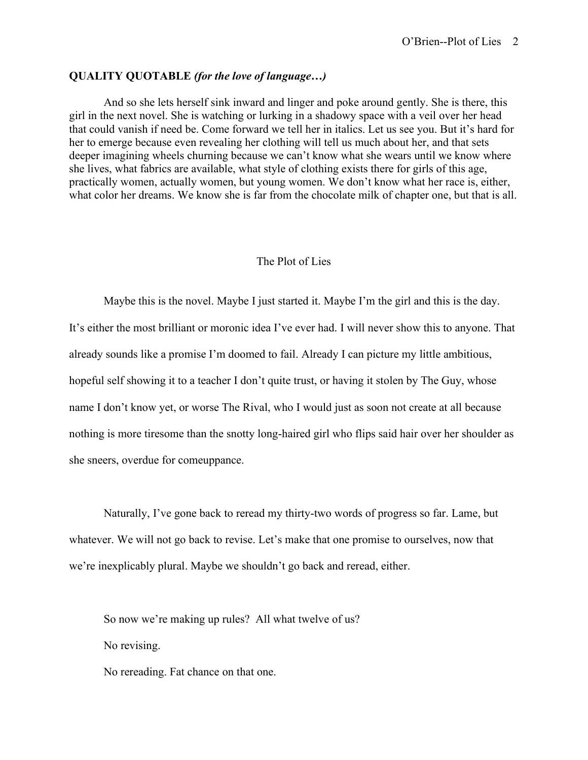## **QUALITY QUOTABLE** *(for the love of language…)*

And so she lets herself sink inward and linger and poke around gently. She is there, this girl in the next novel. She is watching or lurking in a shadowy space with a veil over her head that could vanish if need be. Come forward we tell her in italics. Let us see you. But it's hard for her to emerge because even revealing her clothing will tell us much about her, and that sets deeper imagining wheels churning because we can't know what she wears until we know where she lives, what fabrics are available, what style of clothing exists there for girls of this age, practically women, actually women, but young women. We don't know what her race is, either, what color her dreams. We know she is far from the chocolate milk of chapter one, but that is all.

## The Plot of Lies

Maybe this is the novel. Maybe I just started it. Maybe I'm the girl and this is the day. It's either the most brilliant or moronic idea I've ever had. I will never show this to anyone. That already sounds like a promise I'm doomed to fail. Already I can picture my little ambitious, hopeful self showing it to a teacher I don't quite trust, or having it stolen by The Guy, whose name I don't know yet, or worse The Rival, who I would just as soon not create at all because nothing is more tiresome than the snotty long-haired girl who flips said hair over her shoulder as she sneers, overdue for comeuppance.

Naturally, I've gone back to reread my thirty-two words of progress so far. Lame, but whatever. We will not go back to revise. Let's make that one promise to ourselves, now that we're inexplicably plural. Maybe we shouldn't go back and reread, either.

So now we're making up rules? All what twelve of us? No revising.

No rereading. Fat chance on that one.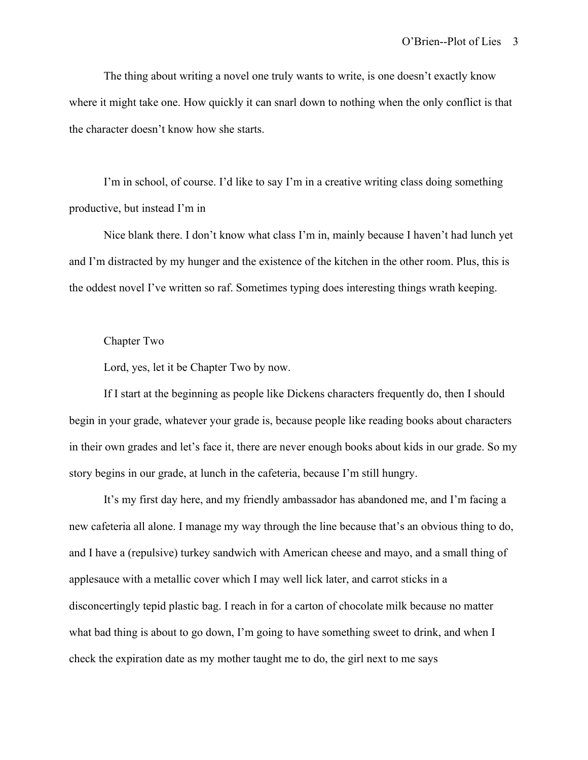The thing about writing a novel one truly wants to write, is one doesn't exactly know where it might take one. How quickly it can snarl down to nothing when the only conflict is that the character doesn't know how she starts.

I'm in school, of course. I'd like to say I'm in a creative writing class doing something productive, but instead I'm in

Nice blank there. I don't know what class I'm in, mainly because I haven't had lunch yet and I'm distracted by my hunger and the existence of the kitchen in the other room. Plus, this is the oddest novel I've written so raf. Sometimes typing does interesting things wrath keeping.

## Chapter Two

Lord, yes, let it be Chapter Two by now.

If I start at the beginning as people like Dickens characters frequently do, then I should begin in your grade, whatever your grade is, because people like reading books about characters in their own grades and let's face it, there are never enough books about kids in our grade. So my story begins in our grade, at lunch in the cafeteria, because I'm still hungry.

It's my first day here, and my friendly ambassador has abandoned me, and I'm facing a new cafeteria all alone. I manage my way through the line because that's an obvious thing to do, and I have a (repulsive) turkey sandwich with American cheese and mayo, and a small thing of applesauce with a metallic cover which I may well lick later, and carrot sticks in a disconcertingly tepid plastic bag. I reach in for a carton of chocolate milk because no matter what bad thing is about to go down, I'm going to have something sweet to drink, and when I check the expiration date as my mother taught me to do, the girl next to me says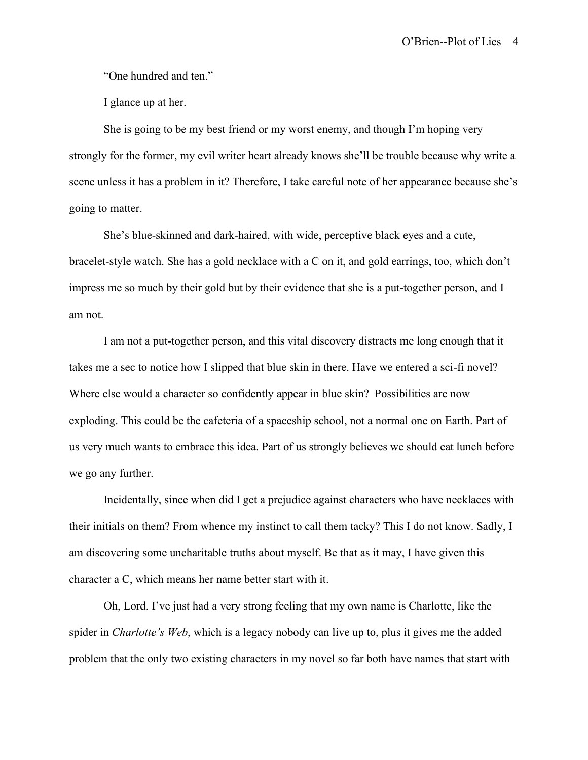"One hundred and ten."

I glance up at her.

She is going to be my best friend or my worst enemy, and though I'm hoping very strongly for the former, my evil writer heart already knows she'll be trouble because why write a scene unless it has a problem in it? Therefore, I take careful note of her appearance because she's going to matter.

She's blue-skinned and dark-haired, with wide, perceptive black eyes and a cute, bracelet-style watch. She has a gold necklace with a C on it, and gold earrings, too, which don't impress me so much by their gold but by their evidence that she is a put-together person, and I am not.

I am not a put-together person, and this vital discovery distracts me long enough that it takes me a sec to notice how I slipped that blue skin in there. Have we entered a sci-fi novel? Where else would a character so confidently appear in blue skin? Possibilities are now exploding. This could be the cafeteria of a spaceship school, not a normal one on Earth. Part of us very much wants to embrace this idea. Part of us strongly believes we should eat lunch before we go any further.

Incidentally, since when did I get a prejudice against characters who have necklaces with their initials on them? From whence my instinct to call them tacky? This I do not know. Sadly, I am discovering some uncharitable truths about myself. Be that as it may, I have given this character a C, which means her name better start with it.

Oh, Lord. I've just had a very strong feeling that my own name is Charlotte, like the spider in *Charlotte's Web*, which is a legacy nobody can live up to, plus it gives me the added problem that the only two existing characters in my novel so far both have names that start with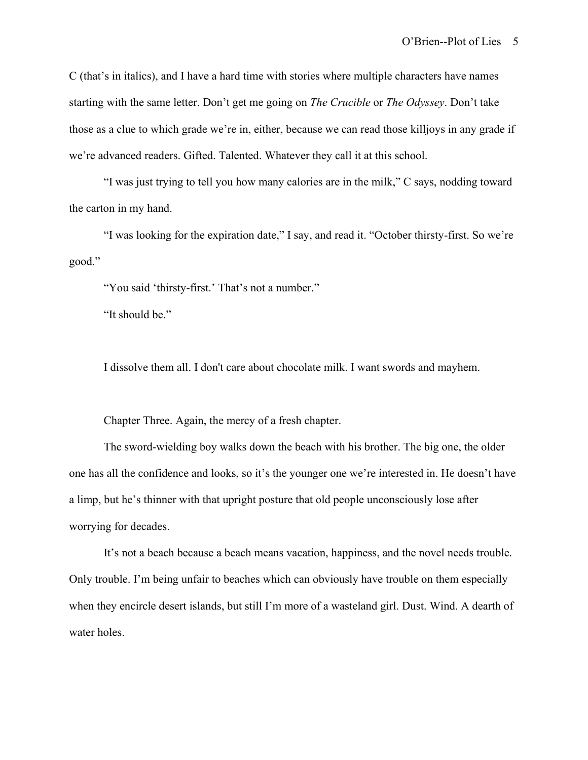C (that's in italics), and I have a hard time with stories where multiple characters have names starting with the same letter. Don't get me going on *The Crucible* or *The Odyssey*. Don't take those as a clue to which grade we're in, either, because we can read those killjoys in any grade if we're advanced readers. Gifted. Talented. Whatever they call it at this school.

"I was just trying to tell you how many calories are in the milk," C says, nodding toward the carton in my hand.

"I was looking for the expiration date," I say, and read it. "October thirsty-first. So we're good."

"You said 'thirsty-first.' That's not a number."

"It should be."

I dissolve them all. I don't care about chocolate milk. I want swords and mayhem.

Chapter Three. Again, the mercy of a fresh chapter.

The sword-wielding boy walks down the beach with his brother. The big one, the older one has all the confidence and looks, so it's the younger one we're interested in. He doesn't have a limp, but he's thinner with that upright posture that old people unconsciously lose after worrying for decades.

It's not a beach because a beach means vacation, happiness, and the novel needs trouble. Only trouble. I'm being unfair to beaches which can obviously have trouble on them especially when they encircle desert islands, but still I'm more of a wasteland girl. Dust. Wind. A dearth of water holes.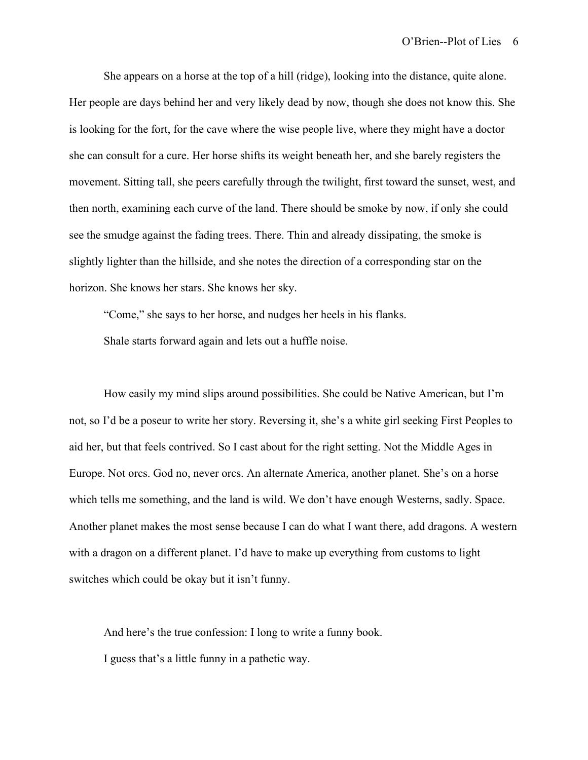She appears on a horse at the top of a hill (ridge), looking into the distance, quite alone. Her people are days behind her and very likely dead by now, though she does not know this. She is looking for the fort, for the cave where the wise people live, where they might have a doctor she can consult for a cure. Her horse shifts its weight beneath her, and she barely registers the movement. Sitting tall, she peers carefully through the twilight, first toward the sunset, west, and then north, examining each curve of the land. There should be smoke by now, if only she could see the smudge against the fading trees. There. Thin and already dissipating, the smoke is slightly lighter than the hillside, and she notes the direction of a corresponding star on the horizon. She knows her stars. She knows her sky.

"Come," she says to her horse, and nudges her heels in his flanks. Shale starts forward again and lets out a huffle noise.

How easily my mind slips around possibilities. She could be Native American, but I'm not, so I'd be a poseur to write her story. Reversing it, she's a white girl seeking First Peoples to aid her, but that feels contrived. So I cast about for the right setting. Not the Middle Ages in Europe. Not orcs. God no, never orcs. An alternate America, another planet. She's on a horse which tells me something, and the land is wild. We don't have enough Westerns, sadly. Space. Another planet makes the most sense because I can do what I want there, add dragons. A western with a dragon on a different planet. I'd have to make up everything from customs to light switches which could be okay but it isn't funny.

And here's the true confession: I long to write a funny book. I guess that's a little funny in a pathetic way.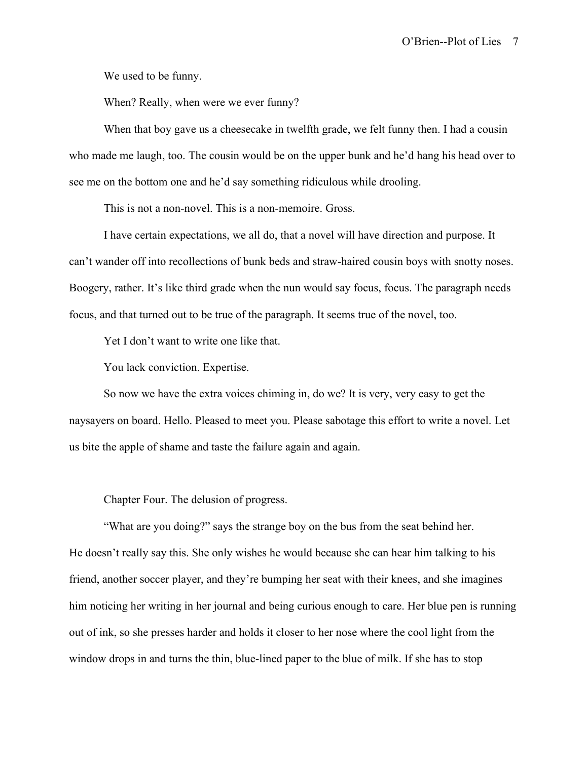We used to be funny.

When? Really, when were we ever funny?

When that boy gave us a cheesecake in twelfth grade, we felt funny then. I had a cousin who made me laugh, too. The cousin would be on the upper bunk and he'd hang his head over to see me on the bottom one and he'd say something ridiculous while drooling.

This is not a non-novel. This is a non-memoire. Gross.

I have certain expectations, we all do, that a novel will have direction and purpose. It can't wander off into recollections of bunk beds and straw-haired cousin boys with snotty noses. Boogery, rather. It's like third grade when the nun would say focus, focus. The paragraph needs focus, and that turned out to be true of the paragraph. It seems true of the novel, too.

Yet I don't want to write one like that.

You lack conviction. Expertise.

So now we have the extra voices chiming in, do we? It is very, very easy to get the naysayers on board. Hello. Pleased to meet you. Please sabotage this effort to write a novel. Let us bite the apple of shame and taste the failure again and again.

Chapter Four. The delusion of progress.

"What are you doing?" says the strange boy on the bus from the seat behind her. He doesn't really say this. She only wishes he would because she can hear him talking to his friend, another soccer player, and they're bumping her seat with their knees, and she imagines him noticing her writing in her journal and being curious enough to care. Her blue pen is running out of ink, so she presses harder and holds it closer to her nose where the cool light from the window drops in and turns the thin, blue-lined paper to the blue of milk. If she has to stop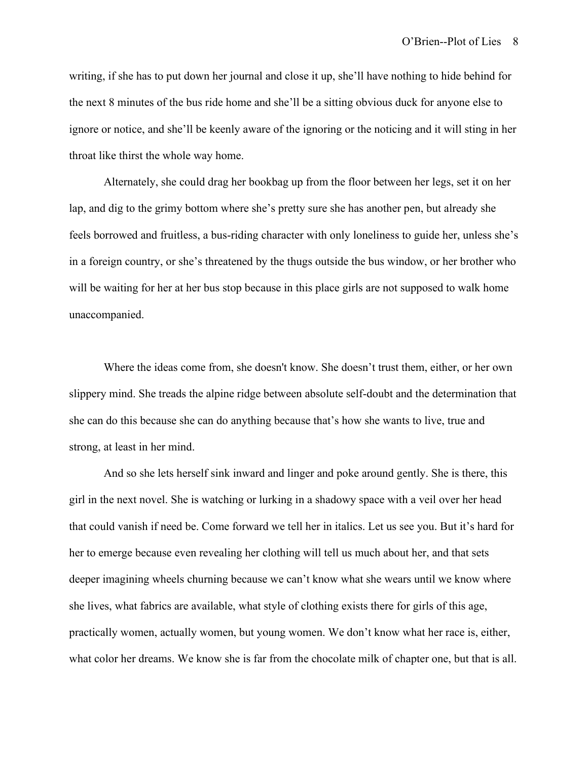writing, if she has to put down her journal and close it up, she'll have nothing to hide behind for the next 8 minutes of the bus ride home and she'll be a sitting obvious duck for anyone else to ignore or notice, and she'll be keenly aware of the ignoring or the noticing and it will sting in her throat like thirst the whole way home.

Alternately, she could drag her bookbag up from the floor between her legs, set it on her lap, and dig to the grimy bottom where she's pretty sure she has another pen, but already she feels borrowed and fruitless, a bus-riding character with only loneliness to guide her, unless she's in a foreign country, or she's threatened by the thugs outside the bus window, or her brother who will be waiting for her at her bus stop because in this place girls are not supposed to walk home unaccompanied.

Where the ideas come from, she doesn't know. She doesn't trust them, either, or her own slippery mind. She treads the alpine ridge between absolute self-doubt and the determination that she can do this because she can do anything because that's how she wants to live, true and strong, at least in her mind.

And so she lets herself sink inward and linger and poke around gently. She is there, this girl in the next novel. She is watching or lurking in a shadowy space with a veil over her head that could vanish if need be. Come forward we tell her in italics. Let us see you. But it's hard for her to emerge because even revealing her clothing will tell us much about her, and that sets deeper imagining wheels churning because we can't know what she wears until we know where she lives, what fabrics are available, what style of clothing exists there for girls of this age, practically women, actually women, but young women. We don't know what her race is, either, what color her dreams. We know she is far from the chocolate milk of chapter one, but that is all.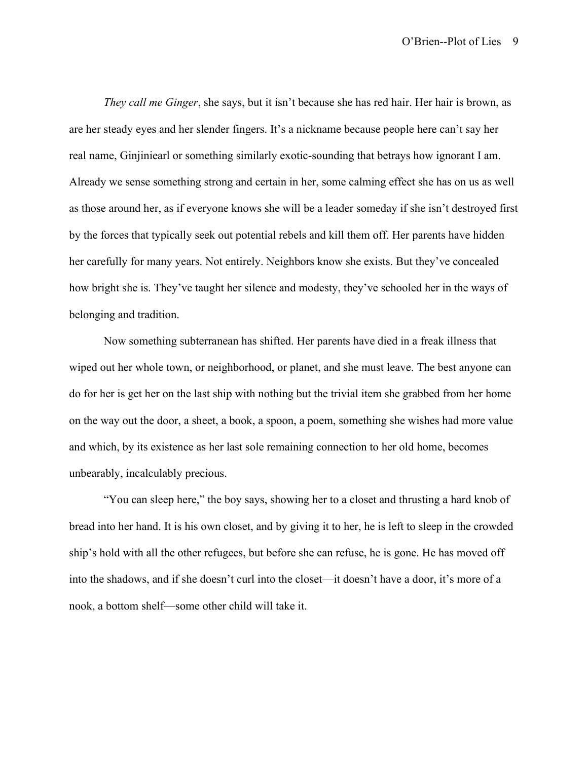*They call me Ginger*, she says, but it isn't because she has red hair. Her hair is brown, as are her steady eyes and her slender fingers. It's a nickname because people here can't say her real name, Ginjiniearl or something similarly exotic-sounding that betrays how ignorant I am. Already we sense something strong and certain in her, some calming effect she has on us as well as those around her, as if everyone knows she will be a leader someday if she isn't destroyed first by the forces that typically seek out potential rebels and kill them off. Her parents have hidden her carefully for many years. Not entirely. Neighbors know she exists. But they've concealed how bright she is. They've taught her silence and modesty, they've schooled her in the ways of belonging and tradition.

Now something subterranean has shifted. Her parents have died in a freak illness that wiped out her whole town, or neighborhood, or planet, and she must leave. The best anyone can do for her is get her on the last ship with nothing but the trivial item she grabbed from her home on the way out the door, a sheet, a book, a spoon, a poem, something she wishes had more value and which, by its existence as her last sole remaining connection to her old home, becomes unbearably, incalculably precious.

"You can sleep here," the boy says, showing her to a closet and thrusting a hard knob of bread into her hand. It is his own closet, and by giving it to her, he is left to sleep in the crowded ship's hold with all the other refugees, but before she can refuse, he is gone. He has moved off into the shadows, and if she doesn't curl into the closet—it doesn't have a door, it's more of a nook, a bottom shelf—some other child will take it.